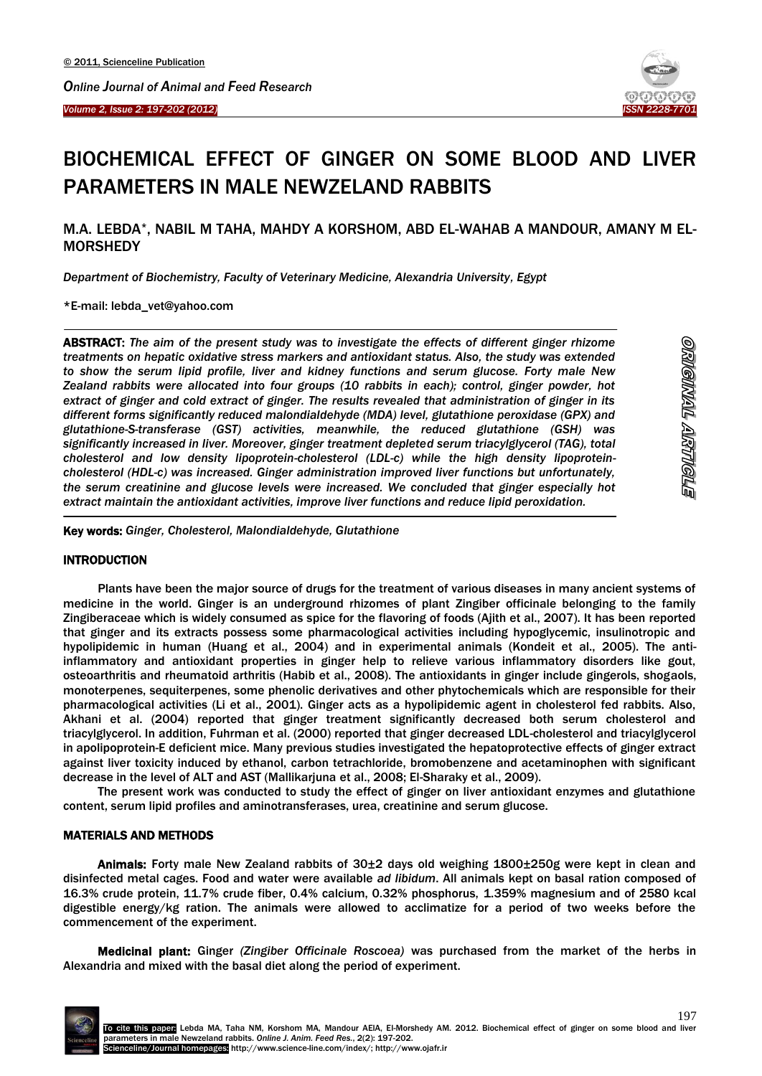

# BIOCHEMICAL EFFECT OF GINGER ON SOME BLOOD AND LIVER PARAMETERS IN MALE NEWZELAND RABBITS

# M.A. LEBDA\*, NABIL M TAHA, MAHDY A KORSHOM, ABD EL-WAHAB A MANDOUR, AMANY M EL-**MORSHEDY**

*Department of Biochemistry, Faculty of Veterinary Medicine, Alexandria University, Egypt*

\*E-mail: lebda\_vet@yahoo.com

Ī

<u>.</u>

-

ABSTRACT: *The aim of the present study was to investigate the effects of different ginger rhizome treatments on hepatic oxidative stress markers and antioxidant status. Also, the study was extended to show the serum lipid profile, liver and kidney functions and serum glucose. Forty male New Zealand rabbits were allocated into four groups (10 rabbits in each); control, ginger powder, hot extract of ginger and cold extract of ginger. The results revealed that administration of ginger in its different forms significantly reduced malondialdehyde (MDA) level, glutathione peroxidase (GPX) and glutathione-S-transferase (GST) activities, meanwhile, the reduced glutathione (GSH) was significantly increased in liver. Moreover, ginger treatment depleted serum triacylglycerol (TAG), total cholesterol and low density lipoprotein-cholesterol (LDL-c) while the high density lipoproteincholesterol (HDL-c) was increased. Ginger administration improved liver functions but unfortunately, the serum creatinine and glucose levels were increased. We concluded that ginger especially hot extract maintain the antioxidant activities, improve liver functions and reduce lipid peroxidation.*

Key words: *Ginger, Cholesterol, Malondialdehyde, Glutathione*

# **INTRODUCTION**

Plants have been the major source of drugs for the treatment of various diseases in many ancient systems of medicine in the world. Ginger is an underground rhizomes of plant Zingiber officinale belonging to the family Zingiberaceae which is widely consumed as spice for the flavoring of foods (Ajith et al., 2007). It has been reported that ginger and its extracts possess some pharmacological activities including hypoglycemic, insulinotropic and hypolipidemic in human (Huang et al., 2004) and in experimental animals (Kondeit et al., 2005). The antiinflammatory and antioxidant properties in ginger help to relieve various inflammatory disorders like gout, osteoarthritis and rheumatoid arthritis (Habib et al., 2008). The antioxidants in ginger include gingerols, shogaols, monoterpenes, sequiterpenes, some phenolic derivatives and other phytochemicals which are responsible for their pharmacological activities (Li et al., 2001). Ginger acts as a hypolipidemic agent in cholesterol fed rabbits. Also, Akhani et al. (2004) reported that ginger treatment significantly decreased both serum cholesterol and triacylglycerol. In addition, Fuhrman et al. (2000) reported that ginger decreased LDL-cholesterol and triacylglycerol in apolipoprotein-E deficient mice. Many previous studies investigated the hepatoprotective effects of ginger extract against liver toxicity induced by ethanol, carbon tetrachloride, bromobenzene and acetaminophen with significant decrease in the level of ALT and AST (Mallikarjuna et al., 2008; El-Sharaky et al., 2009).

The present work was conducted to study the effect of ginger on liver antioxidant enzymes and glutathione content, serum lipid profiles and aminotransferases, urea, creatinine and serum glucose.

# MATERIALS AND METHODS

Animals: Forty male New Zealand rabbits of 30±2 days old weighing 1800±250g were kept in clean and disinfected metal cages. Food and water were available *ad libidum*. All animals kept on basal ration composed of 16.3% crude protein, 11.7% crude fiber, 0.4% calcium, 0.32% phosphorus, 1.359% magnesium and of 2580 kcal digestible energy/kg ration. The animals were allowed to acclimatize for a period of two weeks before the commencement of the experiment.

Medicinal plant: Ginger *(Zingiber Officinale Roscoea)* was purchased from the market of the herbs in Alexandria and mixed with the basal diet along the period of experiment.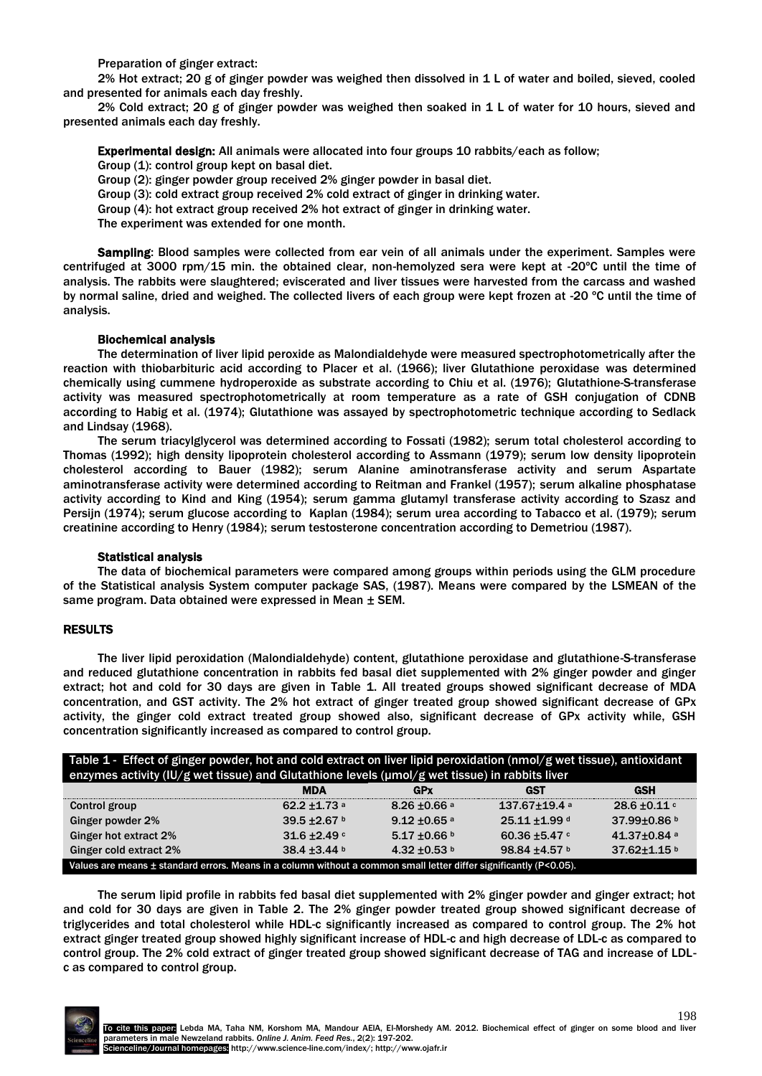Preparation of ginger extract:

2% Hot extract; 20 g of ginger powder was weighed then dissolved in 1 L of water and boiled, sieved, cooled and presented for animals each day freshly.

2% Cold extract; 20 g of ginger powder was weighed then soaked in 1 L of water for 10 hours, sieved and presented animals each day freshly.

Experimental design: All animals were allocated into four groups 10 rabbits/each as follow; Group (1): control group kept on basal diet. Group (2): ginger powder group received 2% ginger powder in basal diet. Group (3): cold extract group received 2% cold extract of ginger in drinking water. Group (4): hot extract group received 2% hot extract of ginger in drinking water. The experiment was extended for one month.

Sampling: Blood samples were collected from ear vein of all animals under the experiment. Samples were centrifuged at 3000 rpm/15 min. the obtained clear, non-hemolyzed sera were kept at -20ºC until the time of analysis. The rabbits were slaughtered; eviscerated and liver tissues were harvested from the carcass and washed by normal saline, dried and weighed. The collected livers of each group were kept frozen at -20 ºC until the time of analysis.

# Biochemical analysis

The determination of liver lipid peroxide as Malondialdehyde were measured spectrophotometrically after the reaction with thiobarbituric acid according to Placer et al. (1966); liver Glutathione peroxidase was determined chemically using cummene hydroperoxide as substrate according to Chiu et al. (1976); Glutathione-S-transferase activity was measured spectrophotometrically at room temperature as a rate of GSH conjugation of CDNB according to Habig et al. (1974); Glutathione was assayed by spectrophotometric technique according to Sedlack and Lindsay (1968).

The serum triacylglycerol was determined according to Fossati (1982); serum total cholesterol according to Thomas (1992); high density lipoprotein cholesterol according to Assmann (1979); serum low density lipoprotein cholesterol according to Bauer (1982); serum Alanine aminotransferase activity and serum Aspartate aminotransferase activity were determined according to Reitman and Frankel (1957); serum alkaline phosphatase activity according to Kind and King (1954); serum gamma glutamyl transferase activity according to Szasz and Persijn (1974); serum glucose according to Kaplan (1984); serum urea according to Tabacco et al. (1979); serum creatinine according to Henry (1984); serum testosterone concentration according to Demetriou (1987).

#### Statistical analysis

The data of biochemical parameters were compared among groups within periods using the GLM procedure of the Statistical analysis System computer package SAS, (1987). Means were compared by the LSMEAN of the same program. Data obtained were expressed in Mean ± SEM.

#### RESULTS

The liver lipid peroxidation (Malondialdehyde) content, glutathione peroxidase and glutathione-S-transferase and reduced glutathione concentration in rabbits fed basal diet supplemented with 2% ginger powder and ginger extract; hot and cold for 30 days are given in Table 1. All treated groups showed significant decrease of MDA concentration, and GST activity. The 2% hot extract of ginger treated group showed significant decrease of GPx activity, the ginger cold extract treated group showed also, significant decrease of GPx activity while, GSH concentration significantly increased as compared to control group.

| Table 1 - Effect of ginger powder, hot and cold extract on liver lipid peroxidation (nmol/g wet tissue), antioxidant |                     |                            |                          |               |  |
|----------------------------------------------------------------------------------------------------------------------|---------------------|----------------------------|--------------------------|---------------|--|
| enzymes activity (IU/g wet tissue) and Glutathione levels (µmol/g wet tissue) in rabbits liver                       |                     |                            |                          |               |  |
|                                                                                                                      | <b>MDA</b>          | GPx                        | GST                      | <b>GSH</b>    |  |
| Control group                                                                                                        | 62.2 $\pm$ 1.73 $a$ | $8.26 \pm 0.66$ a          | $137.67 \pm 19.4$ a      | $28.6 + 0.11$ |  |
| Ginger powder 2%                                                                                                     | 39.5 ±2.67 b        | $9.12 + 0.65$ <sup>a</sup> | 25.11 ±1.99 d            | 37.99±0.86 b  |  |
| Ginger hot extract 2%                                                                                                | $31.6 + 2.49$       | $5.17 \pm 0.66$ b          | 60.36 $\pm$ 5.47 $\circ$ | 41.37±0.84 a  |  |
| Ginger cold extract 2%                                                                                               | 38.4 ±3.44 b        | 4.32 ±0.53 b               | 98.84 ±4.57 b            | 37.62±1.15 b  |  |
| Values are means ± standard errors. Means in a column without a common small letter differ significantly (P<0.05).   |                     |                            |                          |               |  |

The serum lipid profile in rabbits fed basal diet supplemented with 2% ginger powder and ginger extract; hot and cold for 30 days are given in Table 2. The 2% ginger powder treated group showed significant decrease of triglycerides and total cholesterol while HDL-c significantly increased as compared to control group. The 2% hot extract ginger treated group showed highly significant increase of HDL-c and high decrease of LDL-c as compared to control group. The 2% cold extract of ginger treated group showed significant decrease of TAG and increase of LDLc as compared to control group.

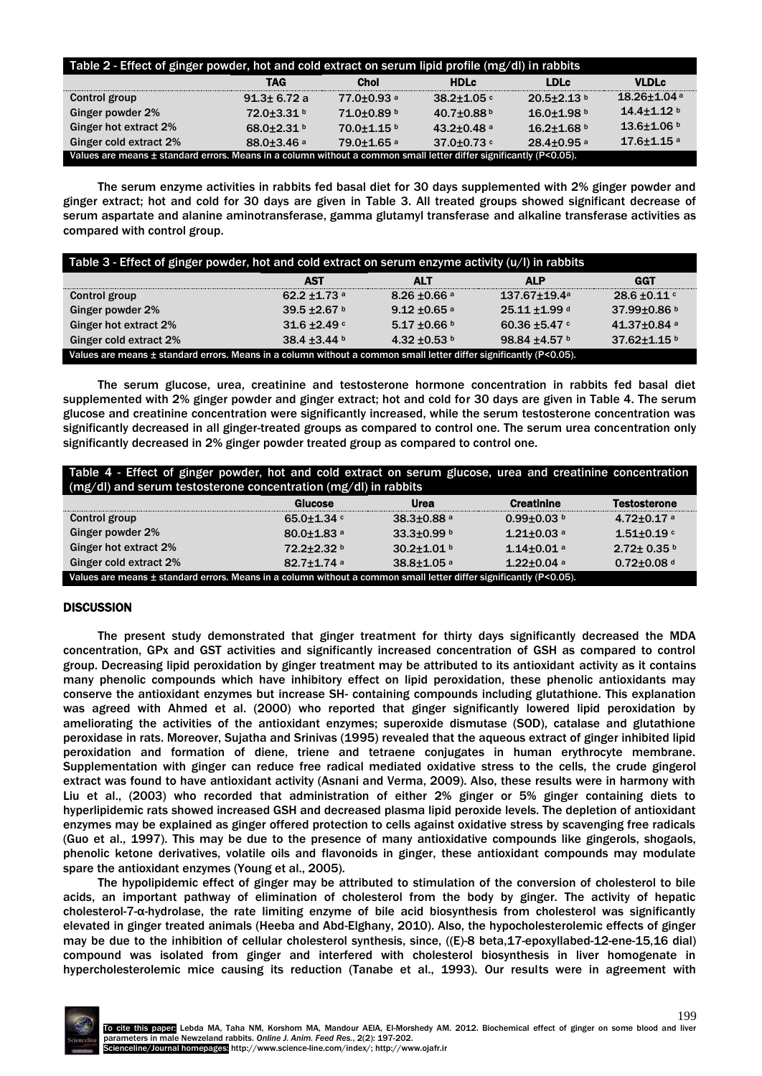| Table 2 - Effect of ginger powder, hot and cold extract on serum lipid profile (mg/dl) in rabbits                  |                        |                            |                            |                              |                             |
|--------------------------------------------------------------------------------------------------------------------|------------------------|----------------------------|----------------------------|------------------------------|-----------------------------|
|                                                                                                                    | <b>TAG</b>             | <b>Chol</b>                | <b>HDLc</b>                | <b>LDLc</b>                  | <b>VLDLc</b>                |
| Control group                                                                                                      | $91.3 \pm 6.72 a$      | 77.0±0.93 a                | $38.2 + 1.05$              | $20.5 + 2.13$                | $18.26 + 1.04$ <sup>a</sup> |
| Ginger powder 2%                                                                                                   | $72.0 + 3.31$          | $71.0 + 0.89$ b            | 40.7 $\pm$ 0.88 $b$        | $16.0 + 1.98$                | $14.4 \pm 1.12$ b           |
| Ginger hot extract 2%                                                                                              | 68.0+2.31 $b$          | $70.0 + 1.15$              | $43.2 + 0.48$ <sup>a</sup> | $16.2 + 1.68$                | $13.6 \pm 1.06$ b           |
| Ginger cold extract 2%                                                                                             | 88.0±3.46 <sup>a</sup> | $79.0 + 1.65$ <sup>a</sup> | 37.0 $\pm$ 0.73 $\degree$  | $28.4 \pm 0.95$ <sup>a</sup> | $17.6 + 1.15$ <sup>a</sup>  |
| Values are means ± standard errors. Means in a column without a common small letter differ significantly (P<0.05). |                        |                            |                            |                              |                             |

The serum enzyme activities in rabbits fed basal diet for 30 days supplemented with 2% ginger powder and ginger extract; hot and cold for 30 days are given in Table 3. All treated groups showed significant decrease of serum aspartate and alanine aminotransferase, gamma glutamyl transferase and alkaline transferase activities as compared with control group.

| Table 3 - Effect of ginger powder, hot and cold extract on serum enzyme activity $(u/l)$ in rabbits                |                               |                   |                          |                    |  |
|--------------------------------------------------------------------------------------------------------------------|-------------------------------|-------------------|--------------------------|--------------------|--|
|                                                                                                                    | <b>AST</b>                    | <b>ALT</b>        | <b>ALP</b>               | <b>GGT</b>         |  |
| Control group                                                                                                      | $62.2 + 1.73$ a               | $8.26 \pm 0.66$ a | $137.67 \pm 19.4$ a      | $28.6 \pm 0.11$ c  |  |
| Ginger powder 2%                                                                                                   | 39.5 $\pm$ 2.67 b             | $9.12 + 0.65$ a   | 25.11 ±1.99 d            | 37.99 $\pm$ 0.86 b |  |
| Ginger hot extract 2%                                                                                              | $31.6 + 2.49$                 | $5.17 \pm 0.66$ b | 60.36 $\pm$ 5.47 $\circ$ | $41.37 \pm 0.84$ a |  |
| Ginger cold extract 2%                                                                                             | 38.4 $\pm$ 3.44 $\frac{1}{2}$ | 4.32 $\pm$ 0.53 b | 98.84 ±4.57 b            | 37.62±1.15 b       |  |
| Values are means ± standard errors. Means in a column without a common small letter differ significantly (P<0.05). |                               |                   |                          |                    |  |

The serum glucose, urea, creatinine and testosterone hormone concentration in rabbits fed basal diet supplemented with 2% ginger powder and ginger extract; hot and cold for 30 days are given in Table 4. The serum glucose and creatinine concentration were significantly increased, while the serum testosterone concentration was significantly decreased in all ginger-treated groups as compared to control one. The serum urea concentration only significantly decreased in 2% ginger powder treated group as compared to control one.

| Table 4 - Effect of ginger powder, hot and cold extract on serum glucose, urea and creatinine concentration<br>$(mg/dl)$ and serum testosterone concentration (mg/dl) in rabbits |                              |                              |                              |                     |  |
|----------------------------------------------------------------------------------------------------------------------------------------------------------------------------------|------------------------------|------------------------------|------------------------------|---------------------|--|
|                                                                                                                                                                                  | Glucose                      | <b>Urea</b>                  | <b>Creatinine</b>            | <b>Testosterone</b> |  |
| Control group                                                                                                                                                                    | 65.0 $\pm$ 1.34 $\degree$    | $38.3{\pm}0.88$ <sup>a</sup> | $0.99 + 0.03$                | $4.72 \pm 0.17$ a   |  |
| Ginger powder 2%                                                                                                                                                                 | $80.0 + 1.83$ <sup>a</sup>   | 33.3±0.99 b                  | $1.21 + 0.03$ a              | $1.51 + 0.19$       |  |
| Ginger hot extract 2%                                                                                                                                                            | 72.2+2.32 b                  | $30.2 + 1.01$                | $1.14 \pm 0.01$ a            | $2.72 \pm 0.35$ b   |  |
| Ginger cold extract 2%                                                                                                                                                           | $82.7 \pm 1.74$ <sup>a</sup> | $38.8{\pm}1.05$ <sup>a</sup> | $1.22 \pm 0.04$ <sup>a</sup> | $0.72 \pm 0.08$ d   |  |
| Values are means ± standard errors. Means in a column without a common small letter differ significantly (P<0.05).                                                               |                              |                              |                              |                     |  |

# **DISCUSSION**

The present study demonstrated that ginger treatment for thirty days significantly decreased the MDA concentration, GPx and GST activities and significantly increased concentration of GSH as compared to control group. Decreasing lipid peroxidation by ginger treatment may be attributed to its antioxidant activity as it contains many phenolic compounds which have inhibitory effect on lipid peroxidation, these phenolic antioxidants may conserve the antioxidant enzymes but increase SH- containing compounds including glutathione. This explanation was agreed with Ahmed et al. (2000) who reported that ginger significantly lowered lipid peroxidation by ameliorating the activities of the antioxidant enzymes; superoxide dismutase (SOD), catalase and glutathione peroxidase in rats. Moreover, Sujatha and Srinivas (1995) revealed that the aqueous extract of ginger inhibited lipid peroxidation and formation of diene, triene and tetraene conjugates in human erythrocyte membrane. Supplementation with ginger can reduce free radical mediated oxidative stress to the cells, the crude gingerol extract was found to have antioxidant activity (Asnani and Verma, 2009). Also, these results were in harmony with Liu et al., (2003) who recorded that administration of either 2% ginger or 5% ginger containing diets to hyperlipidemic rats showed increased GSH and decreased plasma lipid peroxide levels. The depletion of antioxidant enzymes may be explained as ginger offered protection to cells against oxidative stress by scavenging free radicals (Guo et al., 1997). This may be due to the presence of many antioxidative compounds like gingerols, shogaols, phenolic ketone derivatives, volatile oils and flavonoids in ginger, these antioxidant compounds may modulate spare the antioxidant enzymes (Young et al., 2005).

The hypolipidemic effect of ginger may be attributed to stimulation of the conversion of cholesterol to bile acids, an important pathway of elimination of cholesterol from the body by ginger. The activity of hepatic cholesterol-7-α-hydrolase, the rate limiting enzyme of bile acid biosynthesis from cholesterol was significantly elevated in ginger treated animals (Heeba and Abd-Elghany, 2010). Also, the hypocholesterolemic effects of ginger may be due to the inhibition of cellular cholesterol synthesis, since, ((E)-8 beta,17-epoxyllabed-12-ene-15,16 dial) compound was isolated from ginger and interfered with cholesterol biosynthesis in liver homogenate in hypercholesterolemic mice causing its reduction (Tanabe et al., 1993). Our results were in agreement with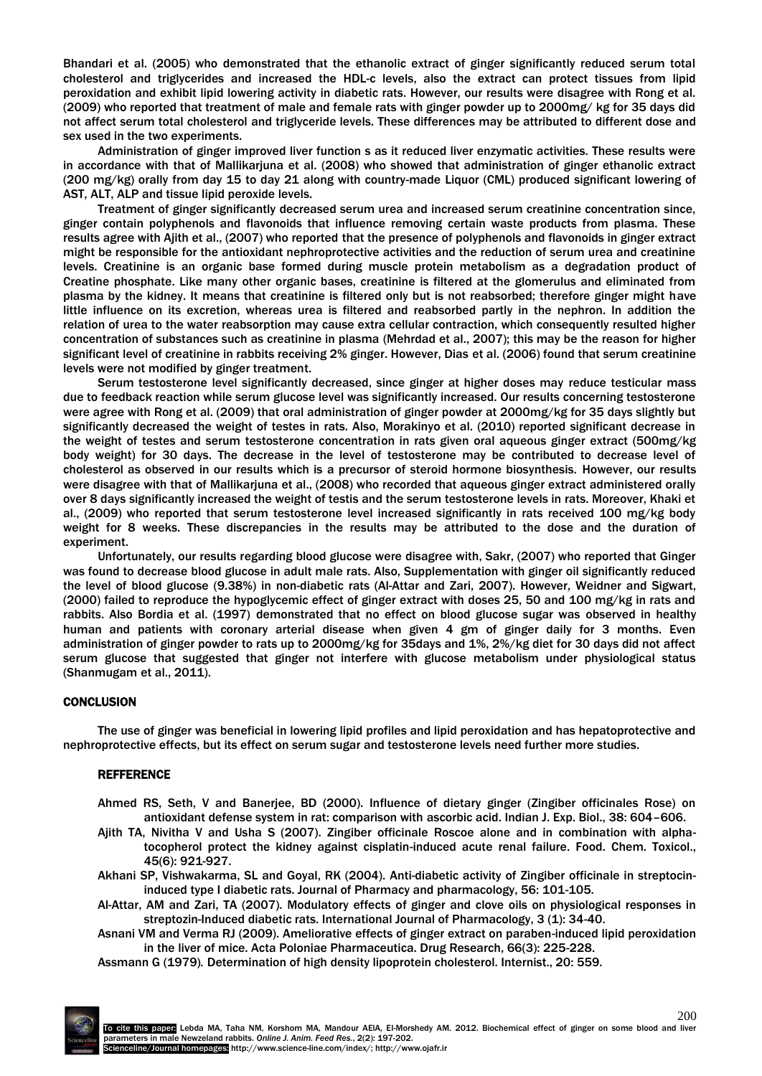Bhandari et al. (2005) who demonstrated that the ethanolic extract of ginger significantly reduced serum total cholesterol and triglycerides and increased the HDL-c levels, also the extract can protect tissues from lipid peroxidation and exhibit lipid lowering activity in diabetic rats. However, our results were disagree with Rong et al. (2009) who reported that treatment of male and female rats with ginger powder up to 2000mg/ kg for 35 days did not affect serum total cholesterol and triglyceride levels. These differences may be attributed to different dose and sex used in the two experiments.

Administration of ginger improved liver function s as it reduced liver enzymatic activities. These results were in accordance with that of Mallikarjuna et al. (2008) who showed that administration of ginger ethanolic extract (200 mg/kg) orally from day 15 to day 21 along with country-made Liquor (CML) produced significant lowering of AST, ALT, ALP and tissue lipid peroxide levels.

Treatment of ginger significantly decreased serum urea and increased serum creatinine concentration since, ginger contain polyphenols and flavonoids that influence removing certain waste products from plasma. These results agree with Ajith et al., (2007) who reported that the presence of polyphenols and flavonoids in ginger extract might be responsible for the antioxidant nephroprotective activities and the reduction of serum urea and creatinine levels. Creatinine is an organic base formed during muscle protein metabolism as a degradation product of Creatine phosphate. Like many other organic bases, creatinine is filtered at the glomerulus and eliminated from plasma by the kidney. It means that creatinine is filtered only but is not reabsorbed; therefore ginger might have little influence on its excretion, whereas urea is filtered and reabsorbed partly in the nephron. In addition the relation of urea to the water reabsorption may cause extra cellular contraction, which consequently resulted higher concentration of substances such as creatinine in plasma (Mehrdad et al., 2007); this may be the reason for higher significant level of creatinine in rabbits receiving 2% ginger. However, Dias et al. (2006) found that serum creatinine levels were not modified by ginger treatment.

Serum testosterone level significantly decreased, since ginger at higher doses may reduce testicular mass due to feedback reaction while serum glucose level was significantly increased. Our results concerning testosterone were agree with Rong et al. (2009) that oral administration of ginger powder at 2000mg/kg for 35 days slightly but significantly decreased the weight of testes in rats. Also, Morakinyo et al. (2010) reported significant decrease in the weight of testes and serum testosterone concentration in rats given oral aqueous ginger extract (500mg/kg body weight) for 30 days. The decrease in the level of testosterone may be contributed to decrease level of cholesterol as observed in our results which is a precursor of steroid hormone biosynthesis. However, our results were disagree with that of Mallikarjuna et al., (2008) who recorded that aqueous ginger extract administered orally over 8 days significantly increased the weight of testis and the serum testosterone levels in rats. Moreover, Khaki et al., (2009) who reported that serum testosterone level increased significantly in rats received 100 mg/kg body weight for 8 weeks. These discrepancies in the results may be attributed to the dose and the duration of experiment.

Unfortunately, our results regarding blood glucose were disagree with, Sakr, (2007) who reported that Ginger was found to decrease blood glucose in adult male rats. Also, Supplementation with ginger oil significantly reduced the level of blood glucose (9.38%) in non-diabetic rats (Al-Attar and Zari, 2007). However, Weidner and Sigwart, (2000) failed to reproduce the hypoglycemic effect of ginger extract with doses 25, 50 and 100 mg/kg in rats and rabbits. Also Bordia et al. (1997) demonstrated that no effect on blood glucose sugar was observed in healthy human and patients with coronary arterial disease when given 4 gm of ginger daily for 3 months. Even administration of ginger powder to rats up to 2000mg/kg for 35days and 1%, 2%/kg diet for 30 days did not affect serum glucose that suggested that ginger not interfere with glucose metabolism under physiological status (Shanmugam et al., 2011).

#### **CONCLUSION**

The use of ginger was beneficial in lowering lipid profiles and lipid peroxidation and has hepatoprotective and nephroprotective effects, but its effect on serum sugar and testosterone levels need further more studies.

#### **REFFERENCE**

- Ahmed RS, Seth, V and Banerjee, BD (2000). Influence of dietary ginger (Zingiber officinales Rose) on antioxidant defense system in rat: comparison with ascorbic acid. Indian J. Exp. Biol., 38: 604–606.
- Ajith TA, Nivitha V and Usha S (2007). Zingiber officinale Roscoe alone and in combination with alphatocopherol protect the kidney against cisplatin-induced acute renal failure. Food. Chem. Toxicol., 45(6): 921-927.
- Akhani SP, Vishwakarma, SL and Goyal, RK (2004). Anti-diabetic activity of Zingiber officinale in streptocininduced type I diabetic rats. Journal of Pharmacy and pharmacology, 56: 101-105.
- Al-Attar, AM and Zari, TA (2007). Modulatory effects of ginger and clove oils on physiological responses in streptozin-Induced diabetic rats. International Journal of Pharmacology, 3 (1): 34-40.
- Asnani VM and Verma RJ (2009). Ameliorative effects of ginger extract on paraben-induced lipid peroxidation in the liver of mice. Acta Poloniae Pharmaceutica. Drug Research, 66(3): 225-228.
- Assmann G (1979)*.* Determination of high density lipoprotein cholesterol. Internist., 20: 559.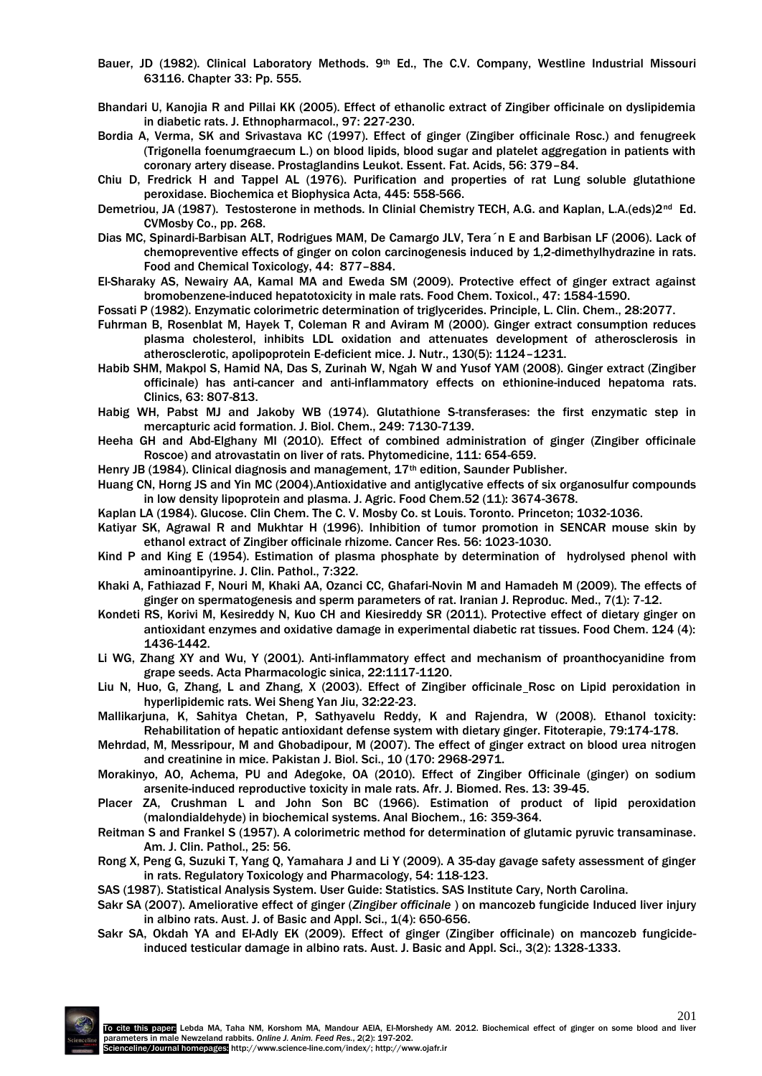- Bauer, JD (1982). Clinical Laboratory Methods. 9th Ed., The C.V. Company, Westline Industrial Missouri 63116. Chapter 33: Pp. 555.
- Bhandari U, Kanojia R and Pillai KK (2005). Effect of ethanolic extract of Zingiber officinale on dyslipidemia in diabetic rats. J. Ethnopharmacol., 97: 227-230.
- Bordia A, Verma, SK and Srivastava KC (1997). Effect of ginger (Zingiber officinale Rosc.) and fenugreek (Trigonella foenumgraecum L.) on blood lipids, blood sugar and platelet aggregation in patients with coronary artery disease. Prostaglandins Leukot. Essent. Fat. Acids, 56: 379–84.
- Chiu D, Fredrick H and Tappel AL (1976). Purification and properties of rat Lung soluble glutathione peroxidase. Biochemica et Biophysica Acta, 445: 558-566.
- Demetriou, JA (1987). Testosterone in methods. In Clinial Chemistry TECH, A.G. and Kaplan, L.A.(eds)2<sup>nd</sup> Ed. CVMosby Co., pp. 268.
- Dias MC, Spinardi-Barbisan ALT, Rodrigues MAM, De Camargo JLV, Tera´n E and Barbisan LF (2006). Lack of chemopreventive effects of ginger on colon carcinogenesis induced by 1,2-dimethylhydrazine in rats. Food and Chemical Toxicology, 44: 877–884.
- El-Sharaky AS, Newairy AA, Kamal MA and Eweda SM (2009). Protective effect of ginger extract against bromobenzene-induced hepatotoxicity in male rats. Food Chem. Toxicol., 47: 1584-1590.
- Fossati P (1982). Enzymatic colorimetric determination of triglycerides. Principle, L. Clin. Chem., 28:2077.
- Fuhrman B, Rosenblat M, Hayek T, Coleman R and Aviram M (2000). Ginger extract consumption reduces plasma cholesterol, inhibits LDL oxidation and attenuates development of atherosclerosis in atherosclerotic, apolipoprotein E-deficient mice. J. Nutr., 130(5): 1124–1231.
- Habib SHM, Makpol S, Hamid NA, Das S, Zurinah W, Ngah W and Yusof YAM (2008). Ginger extract (Zingiber officinale) has anti-cancer and anti-inflammatory effects on ethionine-induced hepatoma rats. Clinics, 63: 807-813.
- Habig WH, Pabst MJ and Jakoby WB (1974). Glutathione S-transferases: the first enzymatic step in mercapturic acid formation. J. Biol. Chem., 249: 7130-7139.
- Heeha GH and Abd-Elghany MI (2010). Effect of combined administration of ginger (Zingiber officinale Roscoe) and atrovastatin on liver of rats. Phytomedicine, 111: 654-659.
- Henry JB (1984). Clinical diagnosis and management, 17<sup>th</sup> edition, Saunder Publisher.
- Huang CN, Horng JS and Yin MC (2004).Antioxidative and antiglycative effects of six organosulfur compounds in low density lipoprotein and plasma. J. Agric. Food Chem.52 (11): 3674-3678.
- Kaplan LA (1984). Glucose. Clin Chem. The C. V. Mosby Co. st Louis. Toronto. Princeton; 1032-1036.
- Katiyar SK, Agrawal R and Mukhtar H (1996). Inhibition of tumor promotion in SENCAR mouse skin by ethanol extract of Zingiber officinale rhizome. Cancer Res. 56: 1023-1030.
- Kind P and King E (1954). Estimation of plasma phosphate by determination of hydrolysed phenol with aminoantipyrine. J. Clin. Pathol., 7:322.
- Khaki A, Fathiazad F, Nouri M, Khaki AA, Ozanci CC, Ghafari-Novin M and Hamadeh M (2009). The effects of ginger on spermatogenesis and sperm parameters of rat. Iranian J. Reproduc. Med., 7(1): 7-12.
- Kondeti RS, Korivi M, Kesireddy N, Kuo CH and Kiesireddy SR (2011). Protective effect of dietary ginger on antioxidant enzymes and oxidative damage in experimental diabetic rat tissues. Food Chem. 124 (4): 1436-1442.
- Li WG, Zhang XY and Wu, Y (2001). Anti-inflammatory effect and mechanism of proanthocyanidine from grape seeds. Acta Pharmacologic sinica, 22:1117-1120.
- Liu N, Huo, G, Zhang, L and Zhang, X (2003). Effect of Zingiber officinale Rosc on Lipid peroxidation in hyperlipidemic rats. Wei Sheng Yan Jiu, 32:22-23.
- Mallikarjuna, K, Sahitya Chetan, P, Sathyavelu Reddy, K and Rajendra, W (2008). Ethanol toxicity: Rehabilitation of hepatic antioxidant defense system with dietary ginger. Fitoterapie, 79:174-178.
- Mehrdad, M, Messripour, M and Ghobadipour, M (2007). The effect of ginger extract on blood urea nitrogen and creatinine in mice. Pakistan J. Biol. Sci., 10 (170: 2968-2971.
- Morakinyo, AO, Achema, PU and Adegoke, OA (2010). Effect of Zingiber Officinale (ginger) on sodium arsenite-induced reproductive toxicity in male rats. Afr. J. Biomed. Res. 13: 39-45.
- Placer ZA, Crushman L and John Son BC (1966). Estimation of product of lipid peroxidation (malondialdehyde) in biochemical systems. Anal Biochem., 16: 359-364.
- Reitman S and Frankel S (1957). A colorimetric method for determination of glutamic pyruvic transaminase. Am. J. Clin. Pathol., 25: 56.
- Rong X, Peng G, Suzuki T, Yang Q, Yamahara J and Li Y (2009). A 35-day gavage safety assessment of ginger in rats. Regulatory Toxicology and Pharmacology, 54: 118-123.
- SAS (1987). Statistical Analysis System. User Guide: Statistics. SAS Institute Cary, North Carolina.
- Sakr SA (2007). Ameliorative effect of ginger (*Zingiber officinale* ) on mancozeb fungicide Induced liver injury in albino rats. Aust. J. of Basic and Appl. Sci., 1(4): 650-656.
- Sakr SA, Okdah YA and El-Adly EK (2009). Effect of ginger (Zingiber officinale) on mancozeb fungicideinduced testicular damage in albino rats. Aust. J. Basic and Appl. Sci., 3(2): 1328-1333.